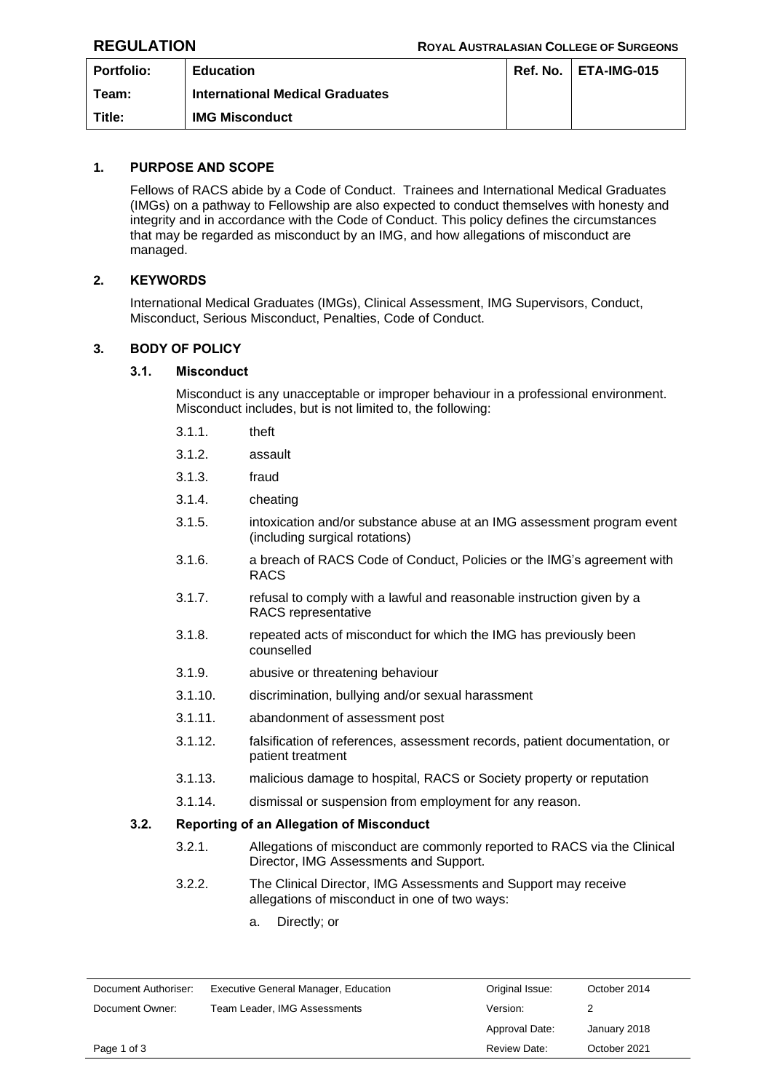| <b>Portfolio:</b> | <b>Education</b>                       | Ref. No. | <b>ETA-IMG-015</b> |
|-------------------|----------------------------------------|----------|--------------------|
| Team:             | <b>International Medical Graduates</b> |          |                    |
| Title:            | <b>IMG Misconduct</b>                  |          |                    |

# **1. PURPOSE AND SCOPE**

Fellows of RACS abide by a Code of Conduct. Trainees and International Medical Graduates (IMGs) on a pathway to Fellowship are also expected to conduct themselves with honesty and integrity and in accordance with the Code of Conduct. This policy defines the circumstances that may be regarded as misconduct by an IMG, and how allegations of misconduct are managed.

## **2. KEYWORDS**

International Medical Graduates (IMGs), Clinical Assessment, IMG Supervisors, Conduct, Misconduct, Serious Misconduct, Penalties, Code of Conduct.

## **3. BODY OF POLICY**

## **3.1. Misconduct**

Misconduct is any unacceptable or improper behaviour in a professional environment. Misconduct includes, but is not limited to, the following:

- 3.1.1. theft
- 3.1.2. assault
- 3.1.3. fraud
- 3.1.4. cheating
- 3.1.5. intoxication and/or substance abuse at an IMG assessment program event (including surgical rotations)
- 3.1.6. a breach of RACS Code of Conduct, Policies or the IMG's agreement with RACS
- 3.1.7. refusal to comply with a lawful and reasonable instruction given by a RACS representative
- 3.1.8. repeated acts of misconduct for which the IMG has previously been counselled
- 3.1.9. abusive or threatening behaviour
- 3.1.10. discrimination, bullying and/or sexual harassment
- 3.1.11. abandonment of assessment post
- 3.1.12. falsification of references, assessment records, patient documentation, or patient treatment
- 3.1.13. malicious damage to hospital, RACS or Society property or reputation
- 3.1.14. dismissal or suspension from employment for any reason.

#### **3.2. Reporting of an Allegation of Misconduct**

- 3.2.1. Allegations of misconduct are commonly reported to RACS via the Clinical Director, IMG Assessments and Support.
- 3.2.2. The Clinical Director, IMG Assessments and Support may receive allegations of misconduct in one of two ways:
	- a. Directly; or

| Document Authoriser: | Executive General Manager, Education | Original Issue: | October 2014 |
|----------------------|--------------------------------------|-----------------|--------------|
| Document Owner:      | Team Leader, IMG Assessments         | Version:        |              |
|                      |                                      | Approval Date:  | January 2018 |
| Page 1 of 3          |                                      | Review Date:    | October 2021 |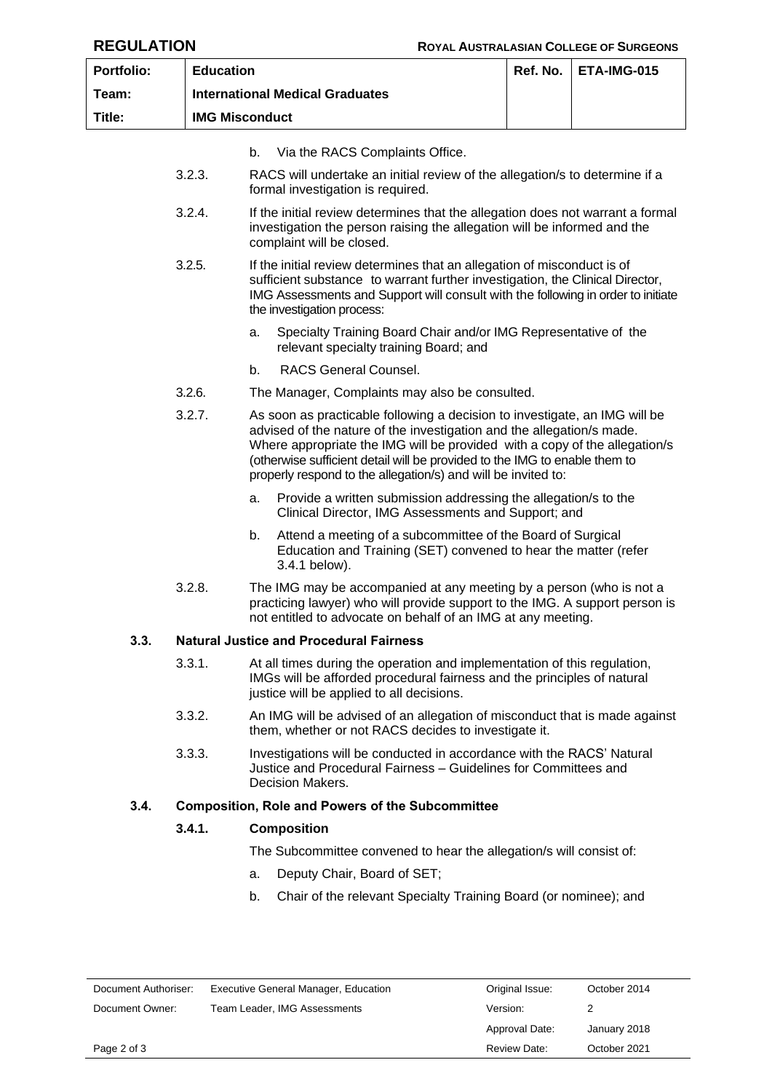| <b>Portfolio:</b>    | <b>Education</b> |                                                                                                                                                                                                                                                                                                                                                                                  | Ref. No.        | ETA-IMG-015  |
|----------------------|------------------|----------------------------------------------------------------------------------------------------------------------------------------------------------------------------------------------------------------------------------------------------------------------------------------------------------------------------------------------------------------------------------|-----------------|--------------|
| Team:                |                  | <b>International Medical Graduates</b>                                                                                                                                                                                                                                                                                                                                           |                 |              |
| Title:               |                  | <b>IMG Misconduct</b>                                                                                                                                                                                                                                                                                                                                                            |                 |              |
|                      |                  | b.<br>Via the RACS Complaints Office.                                                                                                                                                                                                                                                                                                                                            |                 |              |
|                      | 3.2.3.           | RACS will undertake an initial review of the allegation/s to determine if a<br>formal investigation is required.                                                                                                                                                                                                                                                                 |                 |              |
|                      | 3.2.4.           | If the initial review determines that the allegation does not warrant a formal<br>investigation the person raising the allegation will be informed and the<br>complaint will be closed.                                                                                                                                                                                          |                 |              |
|                      | 3.2.5.           | If the initial review determines that an allegation of misconduct is of<br>sufficient substance to warrant further investigation, the Clinical Director,<br>IMG Assessments and Support will consult with the following in order to initiate<br>the investigation process:                                                                                                       |                 |              |
|                      |                  | Specialty Training Board Chair and/or IMG Representative of the<br>a.<br>relevant specialty training Board; and                                                                                                                                                                                                                                                                  |                 |              |
|                      |                  | b.<br>RACS General Counsel.                                                                                                                                                                                                                                                                                                                                                      |                 |              |
|                      | 3.2.6.           | The Manager, Complaints may also be consulted.                                                                                                                                                                                                                                                                                                                                   |                 |              |
|                      | 3.2.7.           | As soon as practicable following a decision to investigate, an IMG will be<br>advised of the nature of the investigation and the allegation/s made.<br>Where appropriate the IMG will be provided with a copy of the allegation/s<br>(otherwise sufficient detail will be provided to the IMG to enable them to<br>properly respond to the allegation/s) and will be invited to: |                 |              |
|                      |                  | Provide a written submission addressing the allegation/s to the<br>a.<br>Clinical Director, IMG Assessments and Support; and                                                                                                                                                                                                                                                     |                 |              |
|                      |                  | b.<br>Attend a meeting of a subcommittee of the Board of Surgical<br>Education and Training (SET) convened to hear the matter (refer<br>3.4.1 below).                                                                                                                                                                                                                            |                 |              |
|                      | 3.2.8.           | The IMG may be accompanied at any meeting by a person (who is not a<br>practicing lawyer) who will provide support to the IMG. A support person is<br>not entitled to advocate on behalf of an IMG at any meeting.                                                                                                                                                               |                 |              |
| 3.3.                 |                  | <b>Natural Justice and Procedural Fairness</b>                                                                                                                                                                                                                                                                                                                                   |                 |              |
|                      | 3.3.1.           | At all times during the operation and implementation of this regulation,<br>IMGs will be afforded procedural fairness and the principles of natural<br>justice will be applied to all decisions.                                                                                                                                                                                 |                 |              |
|                      | 3.3.2.           | An IMG will be advised of an allegation of misconduct that is made against<br>them, whether or not RACS decides to investigate it.                                                                                                                                                                                                                                               |                 |              |
|                      | 3.3.3.           | Investigations will be conducted in accordance with the RACS' Natural<br>Justice and Procedural Fairness - Guidelines for Committees and<br><b>Decision Makers.</b>                                                                                                                                                                                                              |                 |              |
| 3.4.                 |                  | <b>Composition, Role and Powers of the Subcommittee</b>                                                                                                                                                                                                                                                                                                                          |                 |              |
|                      | 3.4.1.           | <b>Composition</b>                                                                                                                                                                                                                                                                                                                                                               |                 |              |
|                      |                  | The Subcommittee convened to hear the allegation/s will consist of:                                                                                                                                                                                                                                                                                                              |                 |              |
|                      |                  | Deputy Chair, Board of SET;<br>a.                                                                                                                                                                                                                                                                                                                                                |                 |              |
|                      |                  | b.<br>Chair of the relevant Specialty Training Board (or nominee); and                                                                                                                                                                                                                                                                                                           |                 |              |
| Document Authoriser: |                  | Executive General Manager, Education                                                                                                                                                                                                                                                                                                                                             | Original Issue: | October 2014 |
| Document Owner:      |                  | Team Leader, IMG Assessments                                                                                                                                                                                                                                                                                                                                                     | Version:        | 2            |
|                      |                  |                                                                                                                                                                                                                                                                                                                                                                                  | Approval Date:  | January 2018 |